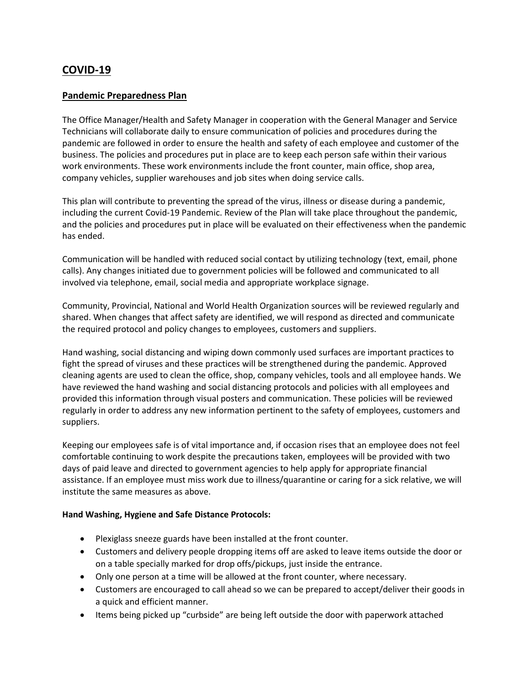# **COVID-19**

### **Pandemic Preparedness Plan**

The Office Manager/Health and Safety Manager in cooperation with the General Manager and Service Technicians will collaborate daily to ensure communication of policies and procedures during the pandemic are followed in order to ensure the health and safety of each employee and customer of the business. The policies and procedures put in place are to keep each person safe within their various work environments. These work environments include the front counter, main office, shop area, company vehicles, supplier warehouses and job sites when doing service calls.

This plan will contribute to preventing the spread of the virus, illness or disease during a pandemic, including the current Covid-19 Pandemic. Review of the Plan will take place throughout the pandemic, and the policies and procedures put in place will be evaluated on their effectiveness when the pandemic has ended.

Communication will be handled with reduced social contact by utilizing technology (text, email, phone calls). Any changes initiated due to government policies will be followed and communicated to all involved via telephone, email, social media and appropriate workplace signage.

Community, Provincial, National and World Health Organization sources will be reviewed regularly and shared. When changes that affect safety are identified, we will respond as directed and communicate the required protocol and policy changes to employees, customers and suppliers.

Hand washing, social distancing and wiping down commonly used surfaces are important practices to fight the spread of viruses and these practices will be strengthened during the pandemic. Approved cleaning agents are used to clean the office, shop, company vehicles, tools and all employee hands. We have reviewed the hand washing and social distancing protocols and policies with all employees and provided this information through visual posters and communication. These policies will be reviewed regularly in order to address any new information pertinent to the safety of employees, customers and suppliers.

Keeping our employees safe is of vital importance and, if occasion rises that an employee does not feel comfortable continuing to work despite the precautions taken, employees will be provided with two days of paid leave and directed to government agencies to help apply for appropriate financial assistance. If an employee must miss work due to illness/quarantine or caring for a sick relative, we will institute the same measures as above.

#### **Hand Washing, Hygiene and Safe Distance Protocols:**

- Plexiglass sneeze guards have been installed at the front counter.
- Customers and delivery people dropping items off are asked to leave items outside the door or on a table specially marked for drop offs/pickups, just inside the entrance.
- Only one person at a time will be allowed at the front counter, where necessary.
- Customers are encouraged to call ahead so we can be prepared to accept/deliver their goods in a quick and efficient manner.
- Items being picked up "curbside" are being left outside the door with paperwork attached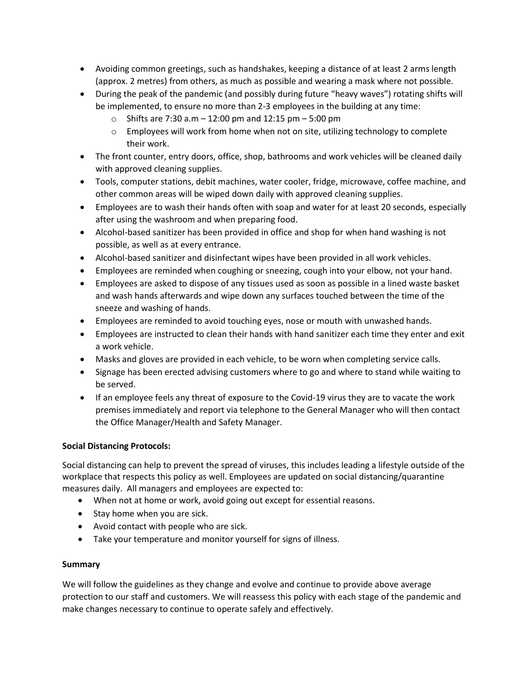- Avoiding common greetings, such as handshakes, keeping a distance of at least 2 arms length (approx. 2 metres) from others, as much as possible and wearing a mask where not possible.
- During the peak of the pandemic (and possibly during future "heavy waves") rotating shifts will be implemented, to ensure no more than 2-3 employees in the building at any time:
	- o Shifts are 7:30 a.m 12:00 pm and 12:15 pm 5:00 pm
	- $\circ$  Employees will work from home when not on site, utilizing technology to complete their work.
- The front counter, entry doors, office, shop, bathrooms and work vehicles will be cleaned daily with approved cleaning supplies.
- Tools, computer stations, debit machines, water cooler, fridge, microwave, coffee machine, and other common areas will be wiped down daily with approved cleaning supplies.
- Employees are to wash their hands often with soap and water for at least 20 seconds, especially after using the washroom and when preparing food.
- Alcohol-based sanitizer has been provided in office and shop for when hand washing is not possible, as well as at every entrance.
- Alcohol-based sanitizer and disinfectant wipes have been provided in all work vehicles.
- Employees are reminded when coughing or sneezing, cough into your elbow, not your hand.
- Employees are asked to dispose of any tissues used as soon as possible in a lined waste basket and wash hands afterwards and wipe down any surfaces touched between the time of the sneeze and washing of hands.
- Employees are reminded to avoid touching eyes, nose or mouth with unwashed hands.
- Employees are instructed to clean their hands with hand sanitizer each time they enter and exit a work vehicle.
- Masks and gloves are provided in each vehicle, to be worn when completing service calls.
- Signage has been erected advising customers where to go and where to stand while waiting to be served.
- If an employee feels any threat of exposure to the Covid-19 virus they are to vacate the work premises immediately and report via telephone to the General Manager who will then contact the Office Manager/Health and Safety Manager.

#### **Social Distancing Protocols:**

Social distancing can help to prevent the spread of viruses, this includes leading a lifestyle outside of the workplace that respects this policy as well. Employees are updated on social distancing/quarantine measures daily. All managers and employees are expected to:

- When not at home or work, avoid going out except for essential reasons.
- Stay home when you are sick.
- Avoid contact with people who are sick.
- Take your temperature and monitor yourself for signs of illness.

#### **Summary**

We will follow the guidelines as they change and evolve and continue to provide above average protection to our staff and customers. We will reassess this policy with each stage of the pandemic and make changes necessary to continue to operate safely and effectively.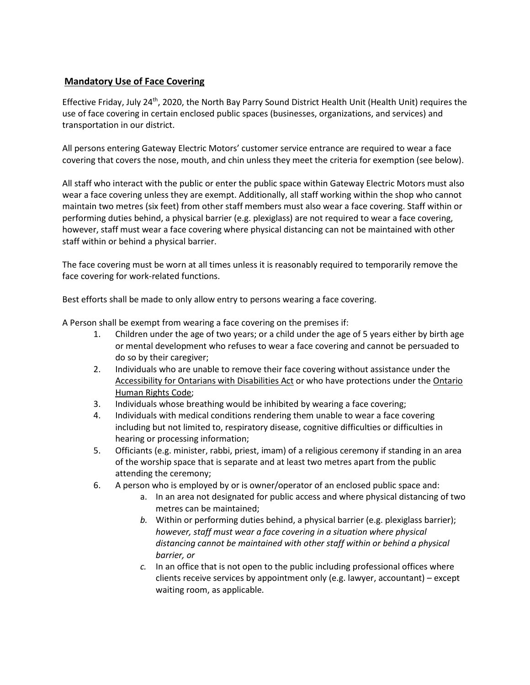## **Mandatory Use of Face Covering**

Effective Friday, July 24<sup>th</sup>, 2020, the North Bay Parry Sound District Health Unit (Health Unit) requires the use of face covering in certain enclosed public spaces (businesses, organizations, and services) and transportation in our district.

All persons entering Gateway Electric Motors' customer service entrance are required to wear a face covering that covers the nose, mouth, and chin unless they meet the criteria for exemption (see below).

All staff who interact with the public or enter the public space within Gateway Electric Motors must also wear a face covering unless they are exempt. Additionally, all staff working within the shop who cannot maintain two metres (six feet) from other staff members must also wear a face covering. Staff within or performing duties behind, a physical barrier (e.g. plexiglass) are not required to wear a face covering, however, staff must wear a face covering where physical distancing can not be maintained with other staff within or behind a physical barrier.

The face covering must be worn at all times unless it is reasonably required to temporarily remove the face covering for work-related functions.

Best efforts shall be made to only allow entry to persons wearing a face covering.

A Person shall be exempt from wearing a face covering on the premises if:

- 1. Children under the age of two years; or a child under the age of 5 years either by birth age or mental development who refuses to wear a face covering and cannot be persuaded to do so by their caregiver;
- 2. Individuals who are unable to remove their face covering without assistance under the Accessibility for Ontarians with Disabilities Act or who have protections under the Ontario Human Rights Code;
- 3. Individuals whose breathing would be inhibited by wearing a face covering;
- 4. Individuals with medical conditions rendering them unable to wear a face covering including but not limited to, respiratory disease, cognitive difficulties or difficulties in hearing or processing information;
- 5. Officiants (e.g. minister, rabbi, priest, imam) of a religious ceremony if standing in an area of the worship space that is separate and at least two metres apart from the public attending the ceremony;
- 6. A person who is employed by or is owner/operator of an enclosed public space and:
	- a. In an area not designated for public access and where physical distancing of two metres can be maintained;
	- *b.* Within or performing duties behind, a physical barrier (e.g. plexiglass barrier); *however, staff must wear a face covering in a situation where physical distancing cannot be maintained with other staff within or behind a physical barrier, or*
	- *c.* In an office that is not open to the public including professional offices where clients receive services by appointment only (e.g. lawyer, accountant) – except waiting room, as applicable.